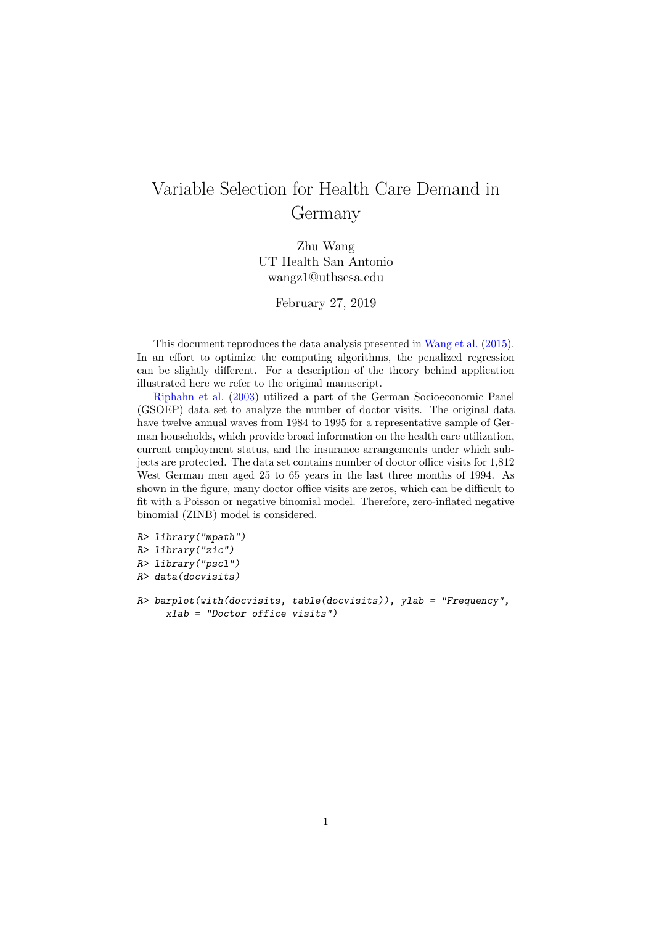## Variable Selection for Health Care Demand in Germany

Zhu Wang UT Health San Antonio wangz1@uthscsa.edu

February 27, 2019

This document reproduces the data analysis presented in [Wang et al.](#page-4-0) [\(2015\)](#page-4-0). In an effort to optimize the computing algorithms, the penalized regression can be slightly different. For a description of the theory behind application illustrated here we refer to the original manuscript.

[Riphahn et al.](#page-4-1) [\(2003\)](#page-4-1) utilized a part of the German Socioeconomic Panel (GSOEP) data set to analyze the number of doctor visits. The original data have twelve annual waves from 1984 to 1995 for a representative sample of German households, which provide broad information on the health care utilization, current employment status, and the insurance arrangements under which subjects are protected. The data set contains number of doctor office visits for 1,812 West German men aged 25 to 65 years in the last three months of 1994. As shown in the figure, many doctor office visits are zeros, which can be difficult to fit with a Poisson or negative binomial model. Therefore, zero-inflated negative binomial (ZINB) model is considered.

```
R> library("mpath")
R> library("zic")
R> library("pscl")
R> data(docvisits)
R> barplot(with(docvisits, table(docvisits)), ylab = "Frequency",
     xlab = "Doctor office visits")
```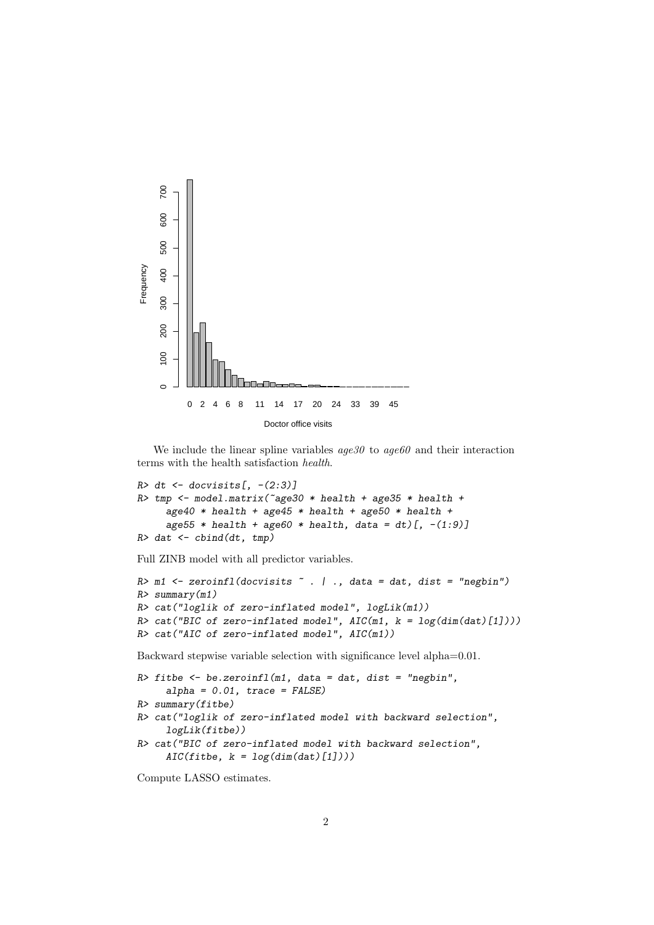

We include the linear spline variables  $age30$  to  $age60$  and their interaction terms with the health satisfaction health.

```
R> dt <- docvisits[, -(2:3)]
R> tmp <- model.matrix("age30 * health + age35 * health +
     age40 * health + age45 * health + age50 * health +
     age55 * health + age60 * health, data = dt)[, -(1:9)]
R> dat \leq cbind(dt, tmp)
```
Full ZINB model with all predictor variables.

```
R> m1 <- zeroinfl(docvisits \tilde{ } . | ., data = dat, dist = "negbin")
R> summary(m1)
R> cat("loglik of zero-inflated model", logLik(m1))
R> cat("BIC of zero-inflated model", AIC(m1, k = log(dim(data)[1])))
R> cat("AIC of zero-inflated model", AIC(m1))
```
Backward stepwise variable selection with significance level alpha=0.01.

```
R> fitbe <- be.zeroinfl(m1, data = dat, dist = "negbin",
     alpha = 0.01, trace = FALSE)
R> summary(fitbe)
R> cat("loglik of zero-inflated model with backward selection",
     logLik(fitbe))
R> cat("BIC of zero-inflated model with backward selection",
     AIC(fitbe, k = log(dim(data)[1]))
```
Compute LASSO estimates.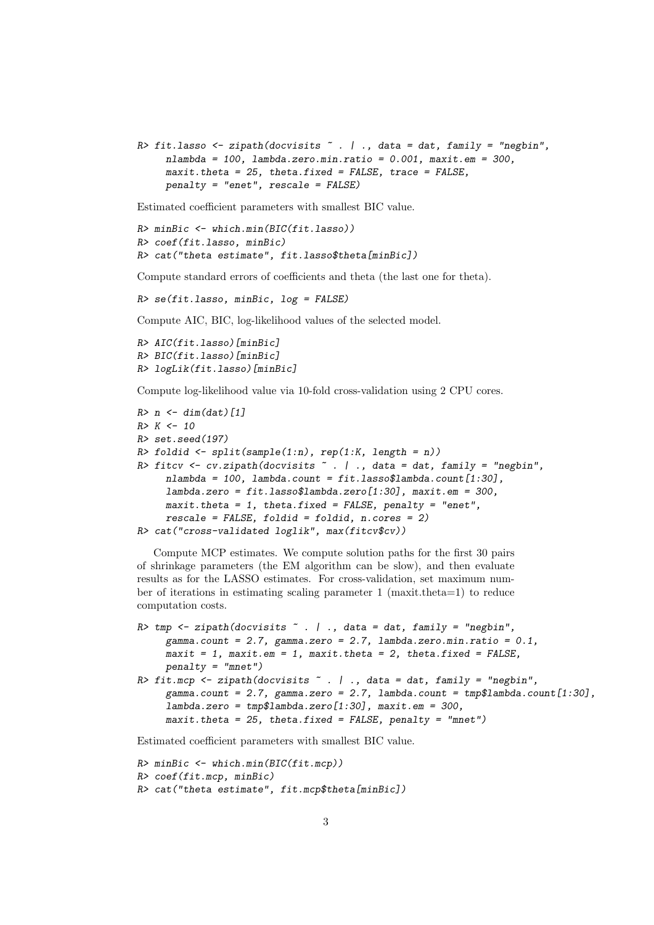```
R> fit.lasso <- zipath(docvisits \tilde{a}. | ., data = dat, family = "negbin",
     nlambda = 100, lambda.zero.min.ratio = 0.001, maxit.em = 300,
     maxit.theta = 25, theta.fixed = FALSE, trace = FALSE,
     penalty = "enet", rescale = FALSE)
```
Estimated coefficient parameters with smallest BIC value.

```
R> minBic <- which.min(BIC(fit.lasso))
R> coef(fit.lasso, minBic)
R> cat("theta estimate", fit.lasso$theta[minBic])
```
Compute standard errors of coefficients and theta (the last one for theta).

R> se(fit.lasso, minBic, log = FALSE)

Compute AIC, BIC, log-likelihood values of the selected model.

```
R> AIC(fit.lasso)[minBic]
R> BIC(fit.lasso)[minBic]
R> logLik(fit.lasso)[minBic]
```
Compute log-likelihood value via 10-fold cross-validation using 2 CPU cores.

```
R > n \le -\dim(\text{dat})[1]R > K < - 10R> set.seed(197)
R> foldid \le split(sample(1:n), rep(1:K, length = n))
R> fitcv \leq cv.zipath(docvisits \leq . | ., data = dat, family = "negbin",
     nlambda = 100, lambda.count = fit.1asso$lambda.count[1:30],
     lambda.zero = fit.lasso$lambda.zero[1:30], maxit.em = 300,
     maxit. theta = 1, theta.fixed = FALSE, penalty = "enet",
     rescale = FALSE, foldid = foldid, n.cores = 2)R> cat("cross-validated loglik", max(fitcv$cv))
```
Compute MCP estimates. We compute solution paths for the first 30 pairs of shrinkage parameters (the EM algorithm can be slow), and then evaluate results as for the LASSO estimates. For cross-validation, set maximum number of iterations in estimating scaling parameter 1 (maxit.theta=1) to reduce computation costs.

```
R> tmp <- zipath(docvisits \tilde{a}. | ., data = dat, family = "negbin",
     gamma.count = 2.7, gamma.zero = 2.7, lambda.zero.min.ratio = 0.1,
     maxit = 1, maxit .em = 1, maxit .theta = 2, theta .firsted = FALSE,
     penalty = "mnet")
R> fit.mcp <- zipath(docvisits \tilde{a}. | ., data = dat, family = "negbin",
     gamma.count = 2.7, gamma.zero = 2.7, lambda.count = tmp$lambda.count[1:30],
     lambda.zero = tmpiambda.zero[1:30], maxit.em = 300,
     maxit.theta = 25, theta.fixed = FALSE, penalty = "mnet")
```
Estimated coefficient parameters with smallest BIC value.

```
R> minBic <- which.min(BIC(fit.mcp))
R> coef(fit.mcp, minBic)
R> cat("theta estimate", fit.mcp$theta[minBic])
```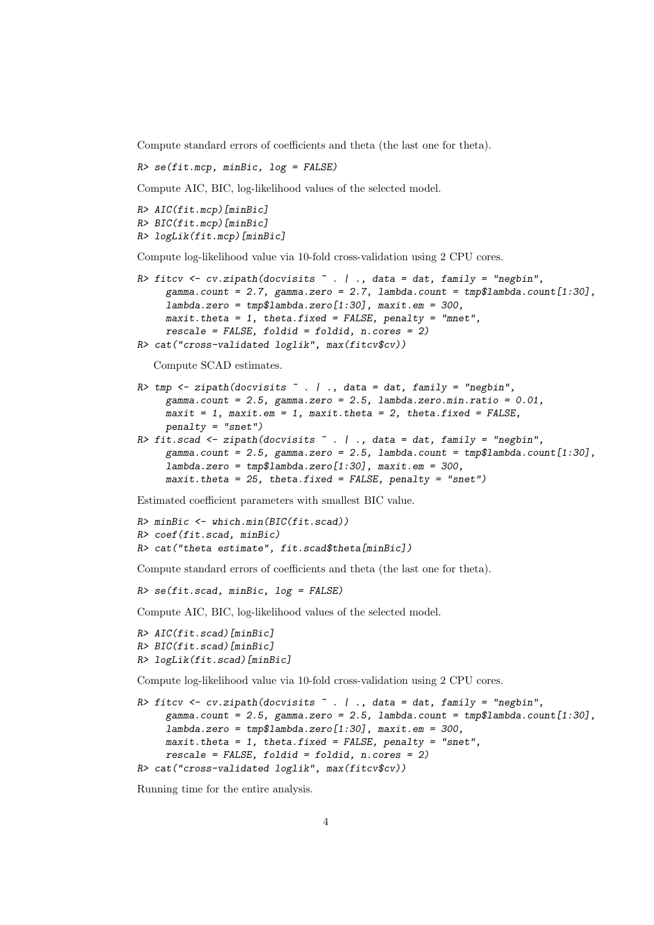Compute standard errors of coefficients and theta (the last one for theta).

R> se(fit.mcp, minBic, log = FALSE)

Compute AIC, BIC, log-likelihood values of the selected model.

```
R> AIC(fit.mcp)[minBic]
R> BIC(fit.mcp)[minBic]
R> logLik(fit.mcp)[minBic]
```
Compute log-likelihood value via 10-fold cross-validation using 2 CPU cores.

```
R> fitcv \le cv.zipath(docvisits \le . | ., data = dat, family = "negbin",
     gamma.count = 2.7, gamma.zero = 2.7, lambda.count = tmp$lambda.count[1:30],
     lambda.zero = tmp$lambda.zero[1:30], maxit.em = 300,maxit.theta = 1, theta.fixed = FALSE, penalty = "mnet",
     rescale = FALSE, foldid = foldid, n.core = 2)R> cat("cross-validated loglik", max(fitcv$cv))
```
Compute SCAD estimates.

```
R \rightarrow tmp \leftarrow zipath(docvisits \tilde{C}. | ., data = dat, family = "negbin",
     gamma.count = 2.5, gamma.zero = 2.5, lambda.zero.min.ratio = 0.01,
     maxit = 1, maxit.em = 1, maxit.theta = 2, theta.fixed = FALSE,
     penalty = "snet")
R> fit.scad \le zipath(docvisits \sim . | ., data = dat, family = "negbin",
     gamma.count = 2.5, gamma.zero = 2.5, lambda.count = tmp$lambda.count[1:30],
     lambda.zero = tmp$lambda zero[1:30], maxit .em = 300,
     maxit.theta = 25, theta.fixed = FALSE, penalty = "snet")
```
Estimated coefficient parameters with smallest BIC value.

```
R> minBic <- which.min(BIC(fit.scad))
R> coef(fit.scad, minBic)
R> cat("theta estimate", fit.scad$theta[minBic])
```
Compute standard errors of coefficients and theta (the last one for theta).

 $R$ > se(fit.scad, minBic, log = FALSE)

Compute AIC, BIC, log-likelihood values of the selected model.

```
R> AIC(fit.scad)[minBic]
R> BIC(fit.scad)[minBic]
R> logLik(fit.scad)[minBic]
```
Compute log-likelihood value via 10-fold cross-validation using 2 CPU cores.

```
R> fitcv <- cv.zipath(docvisits \tilde{a}. | ., data = dat, family = "negbin",
     gamma.count = 2.5, gamma.zero = 2.5, lambda.count = tmp$lambda.count[1:30],
     lambda.zero = tmp$lambda.zero[1:30], maxit.em = 300,
     maxit. theta = 1, theta.fixed = FALSE, penalty = "snet",
     rescale = FALSE, foldid = foldid, n.cores = 2)R> cat("cross-validated loglik", max(fitcv$cv))
```
Running time for the entire analysis.